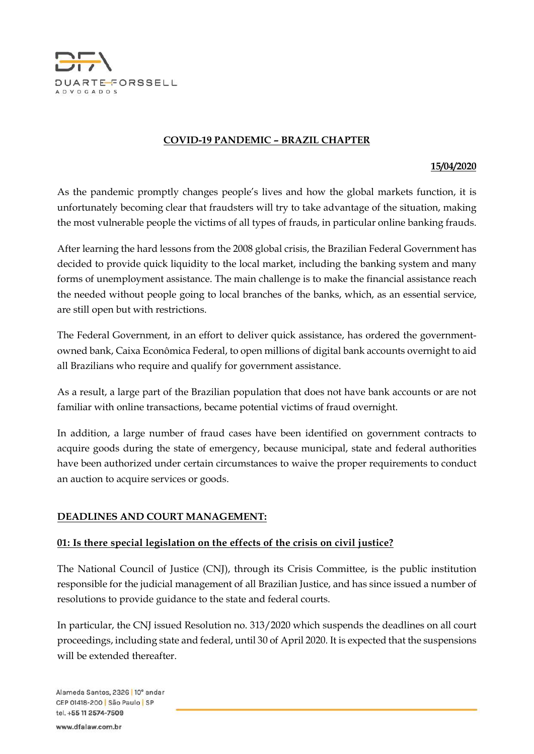

### COVID-19 PANDEMIC – BRAZIL CHAPTER

#### 15/04/2020

As the pandemic promptly changes people's lives and how the global markets function, it is unfortunately becoming clear that fraudsters will try to take advantage of the situation, making the most vulnerable people the victims of all types of frauds, in particular online banking frauds.

After learning the hard lessons from the 2008 global crisis, the Brazilian Federal Government has decided to provide quick liquidity to the local market, including the banking system and many forms of unemployment assistance. The main challenge is to make the financial assistance reach the needed without people going to local branches of the banks, which, as an essential service, are still open but with restrictions.

The Federal Government, in an effort to deliver quick assistance, has ordered the governmentowned bank, Caixa Econômica Federal, to open millions of digital bank accounts overnight to aid all Brazilians who require and qualify for government assistance.

As a result, a large part of the Brazilian population that does not have bank accounts or are not familiar with online transactions, became potential victims of fraud overnight.

In addition, a large number of fraud cases have been identified on government contracts to acquire goods during the state of emergency, because municipal, state and federal authorities have been authorized under certain circumstances to waive the proper requirements to conduct an auction to acquire services or goods.

### DEADLINES AND COURT MANAGEMENT:

#### 01: Is there special legislation on the effects of the crisis on civil justice?

The National Council of Justice (CNJ), through its Crisis Committee, is the public institution responsible for the judicial management of all Brazilian Justice, and has since issued a number of resolutions to provide guidance to the state and federal courts.

In particular, the CNJ issued Resolution no. 313/2020 which suspends the deadlines on all court proceedings, including state and federal, until 30 of April 2020. It is expected that the suspensions will be extended thereafter.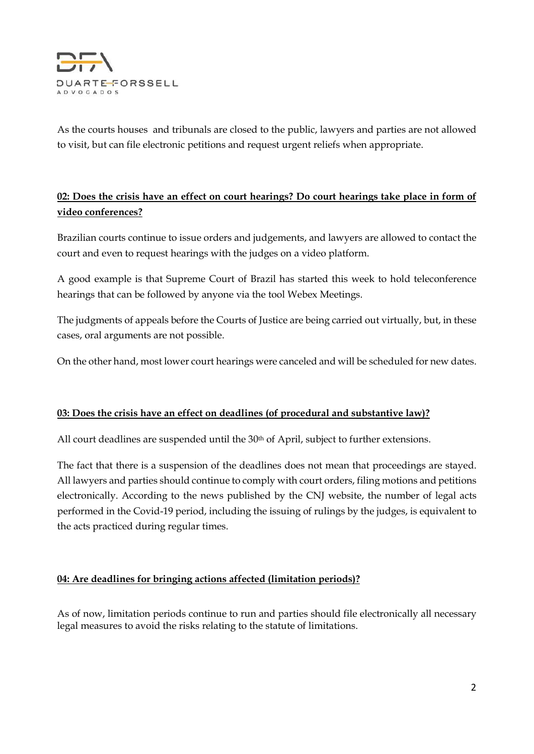

As the courts houses and tribunals are closed to the public, lawyers and parties are not allowed to visit, but can file electronic petitions and request urgent reliefs when appropriate.

## 02: Does the crisis have an effect on court hearings? Do court hearings take place in form of video conferences?

Brazilian courts continue to issue orders and judgements, and lawyers are allowed to contact the court and even to request hearings with the judges on a video platform.

A good example is that Supreme Court of Brazil has started this week to hold teleconference hearings that can be followed by anyone via the tool Webex Meetings.

The judgments of appeals before the Courts of Justice are being carried out virtually, but, in these cases, oral arguments are not possible.

On the other hand, most lower court hearings were canceled and will be scheduled for new dates.

### 03: Does the crisis have an effect on deadlines (of procedural and substantive law)?

All court deadlines are suspended until the  $30<sup>th</sup>$  of April, subject to further extensions.

The fact that there is a suspension of the deadlines does not mean that proceedings are stayed. All lawyers and parties should continue to comply with court orders, filing motions and petitions electronically. According to the news published by the CNJ website, the number of legal acts performed in the Covid-19 period, including the issuing of rulings by the judges, is equivalent to the acts practiced during regular times.

### 04: Are deadlines for bringing actions affected (limitation periods)?

As of now, limitation periods continue to run and parties should file electronically all necessary legal measures to avoid the risks relating to the statute of limitations.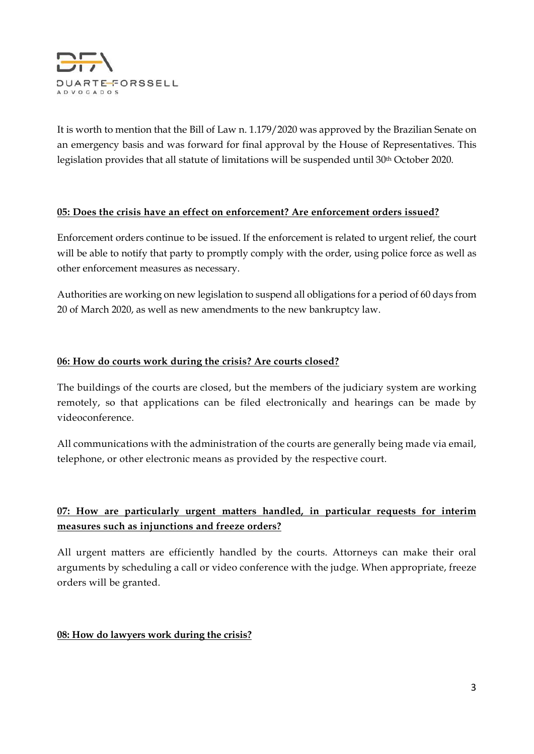

It is worth to mention that the Bill of Law n. 1.179/2020 was approved by the Brazilian Senate on an emergency basis and was forward for final approval by the House of Representatives. This legislation provides that all statute of limitations will be suspended until 30th October 2020.

### 05: Does the crisis have an effect on enforcement? Are enforcement orders issued?

Enforcement orders continue to be issued. If the enforcement is related to urgent relief, the court will be able to notify that party to promptly comply with the order, using police force as well as other enforcement measures as necessary.

Authorities are working on new legislation to suspend all obligations for a period of 60 days from 20 of March 2020, as well as new amendments to the new bankruptcy law.

### 06: How do courts work during the crisis? Are courts closed?

The buildings of the courts are closed, but the members of the judiciary system are working remotely, so that applications can be filed electronically and hearings can be made by videoconference.

All communications with the administration of the courts are generally being made via email, telephone, or other electronic means as provided by the respective court.

# 07: How are particularly urgent matters handled, in particular requests for interim measures such as injunctions and freeze orders?

All urgent matters are efficiently handled by the courts. Attorneys can make their oral arguments by scheduling a call or video conference with the judge. When appropriate, freeze orders will be granted.

### 08: How do lawyers work during the crisis?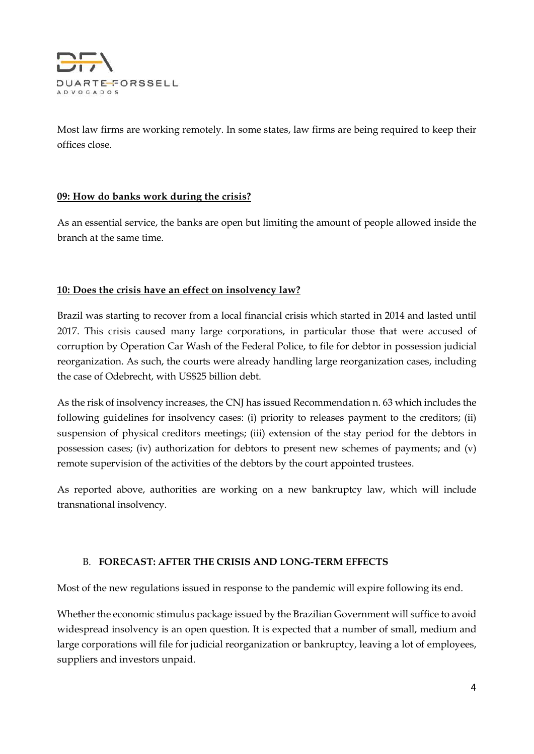

Most law firms are working remotely. In some states, law firms are being required to keep their offices close.

### 09: How do banks work during the crisis?

As an essential service, the banks are open but limiting the amount of people allowed inside the branch at the same time.

## 10: Does the crisis have an effect on insolvency law?

Brazil was starting to recover from a local financial crisis which started in 2014 and lasted until 2017. This crisis caused many large corporations, in particular those that were accused of corruption by Operation Car Wash of the Federal Police, to file for debtor in possession judicial reorganization. As such, the courts were already handling large reorganization cases, including the case of Odebrecht, with US\$25 billion debt.

As the risk of insolvency increases, the CNJ has issued Recommendation n. 63 which includes the following guidelines for insolvency cases: (i) priority to releases payment to the creditors; (ii) suspension of physical creditors meetings; (iii) extension of the stay period for the debtors in possession cases; (iv) authorization for debtors to present new schemes of payments; and (v) remote supervision of the activities of the debtors by the court appointed trustees.

As reported above, authorities are working on a new bankruptcy law, which will include transnational insolvency.

### B. FORECAST: AFTER THE CRISIS AND LONG-TERM EFFECTS

Most of the new regulations issued in response to the pandemic will expire following its end.

Whether the economic stimulus package issued by the Brazilian Government will suffice to avoid widespread insolvency is an open question. It is expected that a number of small, medium and large corporations will file for judicial reorganization or bankruptcy, leaving a lot of employees, suppliers and investors unpaid.